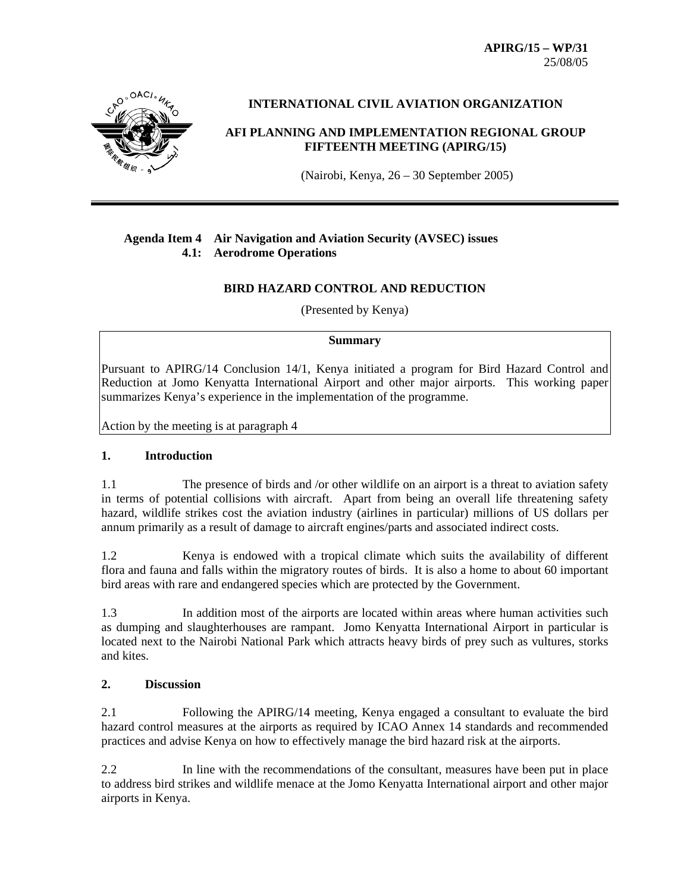**APIRG/15 – WP/31**  25/08/05



## **INTERNATIONAL CIVIL AVIATION ORGANIZATION**

# **AFI PLANNING AND IMPLEMENTATION REGIONAL GROUP FIFTEENTH MEETING (APIRG/15)**

(Nairobi, Kenya, 26 – 30 September 2005)

## **Agenda Item 4 Air Navigation and Aviation Security (AVSEC) issues 4.1: Aerodrome Operations**

## **BIRD HAZARD CONTROL AND REDUCTION**

(Presented by Kenya)

### **Summary**

Pursuant to APIRG/14 Conclusion 14/1, Kenya initiated a program for Bird Hazard Control and Reduction at Jomo Kenyatta International Airport and other major airports. This working paper summarizes Kenya's experience in the implementation of the programme.

Action by the meeting is at paragraph 4

## **1. Introduction**

1.1 The presence of birds and /or other wildlife on an airport is a threat to aviation safety in terms of potential collisions with aircraft. Apart from being an overall life threatening safety hazard, wildlife strikes cost the aviation industry (airlines in particular) millions of US dollars per annum primarily as a result of damage to aircraft engines/parts and associated indirect costs.

1.2 Kenya is endowed with a tropical climate which suits the availability of different flora and fauna and falls within the migratory routes of birds. It is also a home to about 60 important bird areas with rare and endangered species which are protected by the Government.

1.3 In addition most of the airports are located within areas where human activities such as dumping and slaughterhouses are rampant. Jomo Kenyatta International Airport in particular is located next to the Nairobi National Park which attracts heavy birds of prey such as vultures, storks and kites.

## **2. Discussion**

2.1 Following the APIRG/14 meeting, Kenya engaged a consultant to evaluate the bird hazard control measures at the airports as required by ICAO Annex 14 standards and recommended practices and advise Kenya on how to effectively manage the bird hazard risk at the airports.

2.2 In line with the recommendations of the consultant, measures have been put in place to address bird strikes and wildlife menace at the Jomo Kenyatta International airport and other major airports in Kenya.